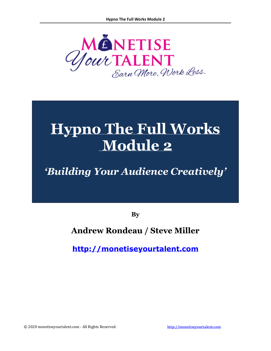

# **Hypno The Full Works Module 2**

## *'Building Your Audience Creatively'*

**By**

## **Andrew Rondeau / Steve Miller**

**[http://monetiseyourtalent.com](http://monetiseyourtalent.com/)**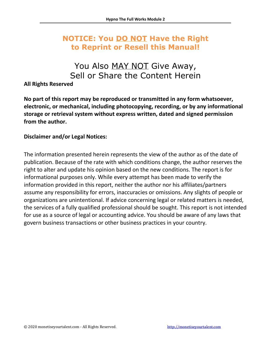## **NOTICE: You DO NOT Have the Right to Reprint or Resell this Manual!**

## You Also MAY NOT Give Away, Sell or Share the Content Herein

### **All Rights Reserved**

**No part of this report may be reproduced or transmitted in any form whatsoever, electronic, or mechanical, including photocopying, recording, or by any informational storage or retrieval system without express written, dated and signed permission from the author.** 

### **Disclaimer and/or Legal Notices:**

The information presented herein represents the view of the author as of the date of publication. Because of the rate with which conditions change, the author reserves the right to alter and update his opinion based on the new conditions. The report is for informational purposes only. While every attempt has been made to verify the information provided in this report, neither the author nor his affiliates/partners assume any responsibility for errors, inaccuracies or omissions. Any slights of people or organizations are unintentional. If advice concerning legal or related matters is needed, the services of a fully qualified professional should be sought. This report is not intended for use as a source of legal or accounting advice. You should be aware of any laws that govern business transactions or other business practices in your country.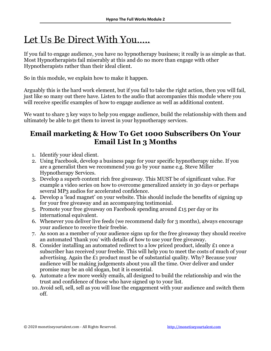## Let Us Be Direct With You…..

If you fail to engage audience, you have no hypnotherapy business; it really is as simple as that. Most Hypnotherapists fail miserably at this and do no more than engage with other Hypnotherapists rather than their ideal client.

So in this module, we explain how to make it happen.

Arguably this is the hard work element, but if you fail to take the right action, then you will fail, just like so many out there have. Listen to the audio that accompanies this module where you will receive specific examples of how to engage audience as well as additional content.

We want to share 3 key ways to help you engage audience, build the relationship with them and ultimately be able to get them to invest in your hypnotherapy services.

## **Email marketing & How To Get 1000 Subscribers On Your Email List In 3 Months**

- 1. Identify your ideal client.
- 2. Using Facebook, develop a business page for your specific hypnotherapy niche. If you are a generalist then we recommend you go by your name e.g. Steve Miller Hypnotherapy Services.
- 3. Develop a superb content rich free giveaway. This MUST be of significant value. For example a video series on how to overcome generalized anxiety in 30 days or perhaps several MP3 audios for accelerated confidence.
- 4. Develop a 'lead magnet' on your website. This should include the benefits of signing up for your free giveaway and an accompanying testimonial.
- 5. Promote your free giveaway on Facebook spending around £15 per day or its international equivalent.
- 6. Whenever you deliver live feeds (we recommend daily for 3 months), always encourage your audience to receive their freebie.
- 7. As soon as a member of your audience signs up for the free giveaway they should receive an automated 'thank you' with details of how to use your free giveaway.
- 8. Consider installing an automated redirect to a low priced product, ideally £1 once a subscriber has received your freebie. This will help you to meet the costs of much of your advertising. Again the £1 product must be of substantial quality. Why? Because your audience will be making judgements about you all the time. Over deliver and under promise may be an old slogan, but it is essential.
- 9. Automate a few more weekly emails, all designed to build the relationship and win the trust and confidence of those who have signed up to your list.
- 10. Avoid sell, sell, sell as you will lose the engagement with your audience and switch them off.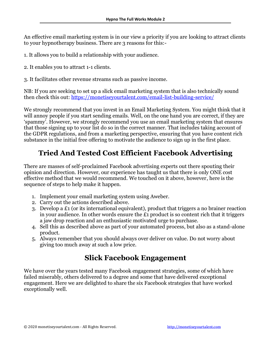An effective email marketing system is in our view a priority if you are looking to attract clients to your hypnotherapy business. There are 3 reasons for this:-

1. It allows you to build a relationship with your audience.

2. It enables you to attract 1-1 clients.

3. It facilitates other revenue streams such as passive income.

NB: If you are seeking to set up a slick email marketing system that is also technically sound then check this out:<https://monetiseyourtalent.com/email-list-building-service/>

We strongly recommend that you invest in an Email Marketing System. You might think that it will annoy people if you start sending emails. Well, on the one hand you are correct, if they are 'spammy'. However, we strongly recommend you use an email marketing system that ensures that those signing up to your list do so in the correct manner. That includes taking account of the GDPR regulations, and from a marketing perspective, ensuring that you have content rich substance in the initial free offering to motivate the audience to sign up in the first place.

## **Tried And Tested Cost Efficient Facebook Advertising**

There are masses of self-proclaimed Facebook advertising experts out there spouting their opinion and direction. However, our experience has taught us that there is only ONE cost effective method that we would recommend. We touched on it above, however, here is the sequence of steps to help make it happen.

- 1. Implement your email marketing system using Aweber.
- 2. Carry out the actions described above.
- 3. Develop a £1 (or its international equivalent), product that triggers a no brainer reaction in your audience. In other words ensure the £1 product is so content rich that it triggers a jaw drop reaction and an enthusiastic motivated urge to purchase.
- 4. Sell this as described above as part of your automated process, but also as a stand-alone product.
- 5. Always remember that you should always over deliver on value. Do not worry about giving too much away at such a low price.

## **Slick Facebook Engagement**

We have over the years tested many Facebook engagement strategies, some of which have failed miserably, others delivered to a degree and some that have delivered exceptional engagement. Here we are delighted to share the six Facebook strategies that have worked exceptionally well.